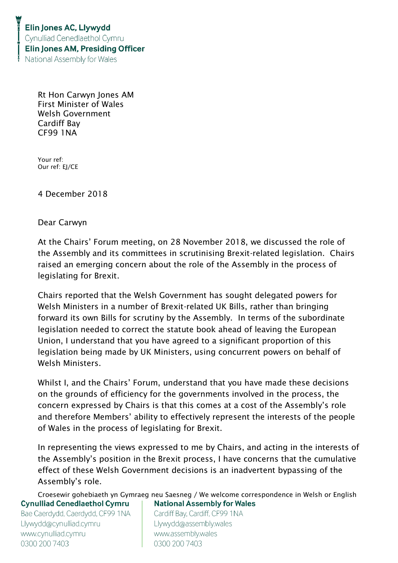Rt Hon Carwyn Jones AM First Minister of Wales Welsh Government Cardiff Bay CF99 1NA

Your ref: Our ref: EJ/CE

4 December 2018

Dear Carwyn

At the Chairs' Forum meeting, on 28 November 2018, we discussed the role of the Assembly and its committees in scrutinising Brexit-related legislation. Chairs raised an emerging concern about the role of the Assembly in the process of legislating for Brexit.

Chairs reported that the Welsh Government has sought delegated powers for Welsh Ministers in a number of Brexit-related UK Bills, rather than bringing forward its own Bills for scrutiny by the Assembly. In terms of the subordinate legislation needed to correct the statute book ahead of leaving the European Union, I understand that you have agreed to a significant proportion of this legislation being made by UK Ministers, using concurrent powers on behalf of Welsh Ministers.

Whilst I, and the Chairs' Forum, understand that you have made these decisions on the grounds of efficiency for the governments involved in the process, the concern expressed by Chairs is that this comes at a cost of the Assembly's role and therefore Members' ability to effectively represent the interests of the people of Wales in the process of legislating for Brexit.

In representing the views expressed to me by Chairs, and acting in the interests of the Assembly's position in the Brexit process, I have concerns that the cumulative effect of these Welsh Government decisions is an inadvertent bypassing of the Assembly's role.

Croesewir gohebiaeth yn Gymraeg neu Saesneg / We welcome correspondence in Welsh or English **Cynulliad Cenedlaethol Cymru National Assembly for Wales** 

Bae Caerdydd, Caerdydd, CF99 1NA Llywydd@cynulliad.cymru www.cynulliad.cymru 0300 200 7403

Cardiff Bay, Cardiff, CF99 1NA Llywydd@assembly.wales www.assembly.wales 0300 200 7403